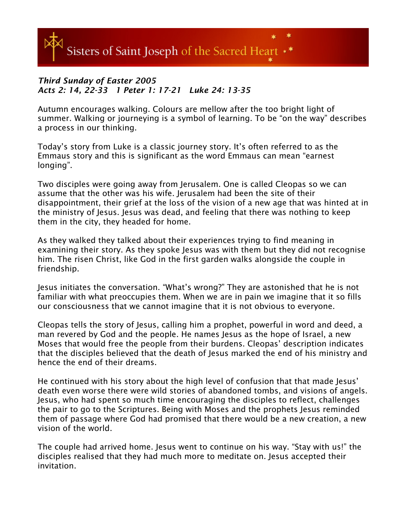

## *Third Sunday of Easter 2005 Acts 2: 14, 22-33 1 Peter 1: 17-21 Luke 24: 13-35*

Autumn encourages walking. Colours are mellow after the too bright light of summer. Walking or journeying is a symbol of learning. To be "on the way" describes a process in our thinking.

Today's story from Luke is a classic journey story. It's often referred to as the Emmaus story and this is significant as the word Emmaus can mean "earnest longing".

Two disciples were going away from Jerusalem. One is called Cleopas so we can assume that the other was his wife. Jerusalem had been the site of their disappointment, their grief at the loss of the vision of a new age that was hinted at in the ministry of Jesus. Jesus was dead, and feeling that there was nothing to keep them in the city, they headed for home.

As they walked they talked about their experiences trying to find meaning in examining their story. As they spoke Jesus was with them but they did not recognise him. The risen Christ, like God in the first garden walks alongside the couple in friendship.

Jesus initiates the conversation. "What's wrong?" They are astonished that he is not familiar with what preoccupies them. When we are in pain we imagine that it so fills our consciousness that we cannot imagine that it is not obvious to everyone.

Cleopas tells the story of Jesus, calling him a prophet, powerful in word and deed, a man revered by God and the people. He names Jesus as the hope of Israel, a new Moses that would free the people from their burdens. Cleopas' description indicates that the disciples believed that the death of Jesus marked the end of his ministry and hence the end of their dreams.

He continued with his story about the high level of confusion that that made Jesus' death even worse there were wild stories of abandoned tombs, and visions of angels. Jesus, who had spent so much time encouraging the disciples to reflect, challenges the pair to go to the Scriptures. Being with Moses and the prophets Jesus reminded them of passage where God had promised that there would be a new creation, a new vision of the world.

The couple had arrived home. Jesus went to continue on his way. "Stay with us!" the disciples realised that they had much more to meditate on. Jesus accepted their invitation.